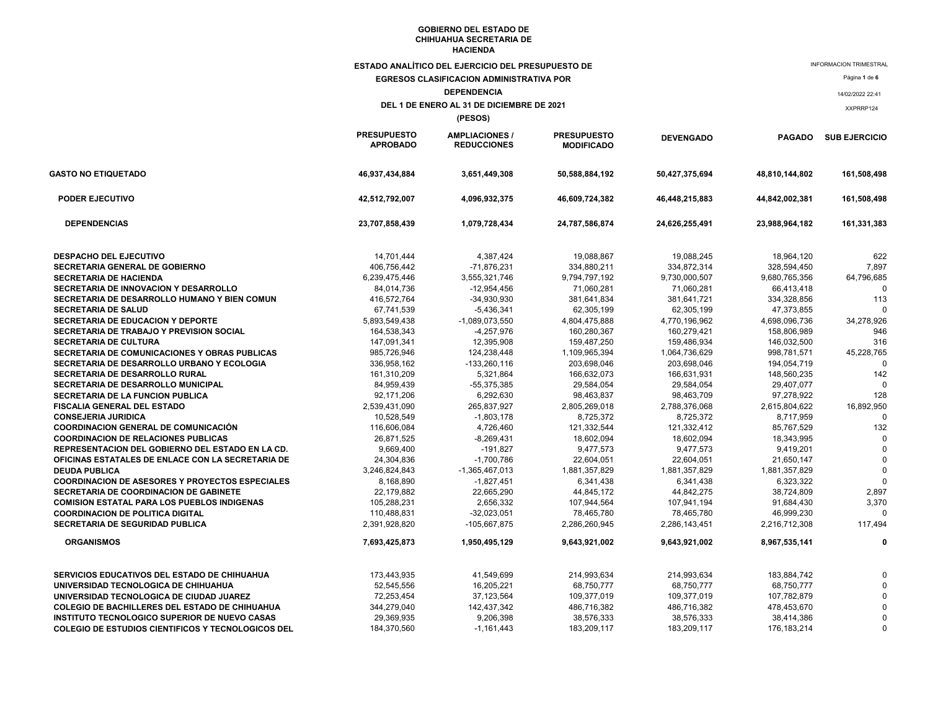|                                                                                | <b>ESTADO ANALÍTICO DEL EJERCICIO DEL PRESUPUESTO DE</b><br><b>EGRESOS CLASIFICACION ADMINISTRATIVA POR</b> |                                             |                                         |                             |                             | <b>INFORMACION TRIMESTRAL</b><br>Página 1 de 6 |
|--------------------------------------------------------------------------------|-------------------------------------------------------------------------------------------------------------|---------------------------------------------|-----------------------------------------|-----------------------------|-----------------------------|------------------------------------------------|
| <b>DEPENDENCIA</b>                                                             |                                                                                                             |                                             |                                         |                             |                             | 14/02/2022 22:41                               |
|                                                                                |                                                                                                             | DEL 1 DE ENERO AL 31 DE DICIEMBRE DE 2021   |                                         |                             |                             | XXPRRP124                                      |
|                                                                                |                                                                                                             | (PESOS)                                     |                                         |                             |                             |                                                |
|                                                                                | <b>PRESUPUESTO</b><br><b>APROBADO</b>                                                                       | <b>AMPLIACIONES /</b><br><b>REDUCCIONES</b> | <b>PRESUPUESTO</b><br><b>MODIFICADO</b> | <b>DEVENGADO</b>            | <b>PAGADO</b>               | <b>SUB EJERCICIO</b>                           |
| <b>GASTO NO ETIQUETADO</b>                                                     | 46,937,434,884                                                                                              | 3,651,449,308                               | 50,588,884,192                          | 50,427,375,694              | 48,810,144,802              | 161,508,498                                    |
| PODER EJECUTIVO                                                                | 42,512,792,007                                                                                              | 4,096,932,375                               | 46,609,724,382                          | 46,448,215,883              | 44,842,002,381              | 161,508,498                                    |
| <b>DEPENDENCIAS</b>                                                            | 23,707,858,439                                                                                              | 1,079,728,434                               | 24,787,586,874                          | 24,626,255,491              | 23,988,964,182              | 161,331,383                                    |
| DESPACHO DEL EJECUTIVO                                                         | 14,701,444                                                                                                  | 4,387,424                                   | 19,088,867                              | 19,088,245                  | 18,964,120                  | 622                                            |
| SECRETARIA GENERAL DE GOBIERNO                                                 | 406,756,442                                                                                                 | -71,876,231                                 | 334,880,211                             | 334,872,314                 | 328,594,450                 | 7,897                                          |
| <b>SECRETARIA DE HACIENDA</b>                                                  | 6,239,475,446                                                                                               | 3,555,321,746                               | 9,794,797,192                           | 9,730,000,507               | 9,680,765,356               | 64,796,685                                     |
| SECRETARIA DE INNOVACION Y DESARROLLO                                          | 84,014,736                                                                                                  | $-12,954,456$                               | 71,060,281                              | 71,060,281                  | 66,413,418                  |                                                |
| SECRETARIA DE DESARROLLO HUMANO Y BIEN COMUN                                   | 416,572,764                                                                                                 | -34,930,930                                 | 381,641,834                             | 381,641,721                 | 334,328,856                 | 113                                            |
| <b>SECRETARIA DE SALUD</b>                                                     | 67,741,539                                                                                                  | $-5,436,341$                                | 62,305,199                              | 62,305,199                  | 47,373,855                  | $\Omega$                                       |
| <b>SECRETARIA DE EDUCACION Y DEPORTE</b>                                       | 5,893,549,438                                                                                               | -1,089,073,550                              | 4,804,475,888                           | 4,770,196,962               | 4,698,096,736               | 34.278.926                                     |
| SECRETARIA DE TRABAJO Y PREVISION SOCIAL                                       | 164,538,343                                                                                                 | $-4,257,976$                                | 160,280,367                             | 160,279,421                 | 158,806,989                 | 946                                            |
| SECRETARIA DE CULTURA                                                          | 147,091,341                                                                                                 | 12,395,908                                  | 159,487,250                             | 159,486,934                 | 146,032,500                 | 316                                            |
| SECRETARIA DE COMUNICACIONES Y OBRAS PUBLICAS                                  | 985,726,946                                                                                                 | 124,238,448                                 | 1,109,965,394                           | 1,064,736,629               | 998,781,571                 | 45,228,765                                     |
| SECRETARIA DE DESARROLLO URBANO Y ECOLOGIA                                     | 336,958,162                                                                                                 | $-133,260,116$                              | 203,698,046                             | 203,698,046                 | 194,054,719                 | $\Omega$                                       |
| <b>SECRETARIA DE DESARROLLO RURAL</b>                                          | 161,310,209                                                                                                 | 5,321,864                                   | 166,632,073                             | 166,631,931                 | 148,560,235                 | 142                                            |
| SECRETARIA DE DESARROLLO MUNICIPAL                                             | 84,959,439                                                                                                  | -55,375,385                                 | 29,584,054                              | 29,584,054                  | 29,407,077                  |                                                |
| SECRETARIA DE LA FUNCION PUBLICA                                               | 92,171,206                                                                                                  | 6,292,630                                   | 98,463,837                              | 98,463,709                  | 97,278,922                  | 128                                            |
| FISCALIA GENERAL DEL ESTADO                                                    | 2,539,431,090                                                                                               | 265,837,927                                 | 2,805,269,018                           | 2,788,376,068               | 2,615,804,622               | 16,892,950                                     |
| <b>CONSEJERIA JURIDICA</b>                                                     | 10,528,549                                                                                                  | $-1,803,178$                                | 8,725,372                               | 8,725,372                   | 8,717,959                   | $\Omega$                                       |
| <b>COORDINACION GENERAL DE COMUNICACIÓN</b>                                    | 116,606,084                                                                                                 | 4,726,460                                   | 121,332,544                             | 121,332,412                 | 85,767,529                  | 132                                            |
| <b>COORDINACION DE RELACIONES PUBLICAS</b>                                     | 26,871,525                                                                                                  | $-8,269,431$                                | 18,602,094                              | 18,602,094                  | 18,343,995                  |                                                |
| REPRESENTACION DEL GOBIERNO DEL ESTADO EN LA CD.                               | 9,669,400                                                                                                   | $-191,827$                                  | 9,477,573                               | 9,477,573                   | 9,419,201                   | $\Omega$                                       |
| OFICINAS ESTATALES DE ENLACE CON LA SECRETARIA DE                              | 24,304,836<br>3,246,824,843                                                                                 | $-1,700,786$                                | 22,604,051<br>1,881,357,829             | 22,604,051<br>1,881,357,829 | 21,650,147<br>1,881,357,829 | $\Omega$                                       |
| <b>DEUDA PUBLICA</b><br><b>COORDINACION DE ASESORES Y PROYECTOS ESPECIALES</b> |                                                                                                             | $-1,365,467,013$                            |                                         |                             |                             |                                                |
| <b>SECRETARIA DE COORDINACION DE GABINETE</b>                                  | 8,168,890<br>22,179,882                                                                                     | $-1,827,451$<br>22,665,290                  | 6,341,438<br>44,845,172                 | 6,341,438                   | 6,323,322<br>38,724,809     | 2,897                                          |
| <b>COMISION ESTATAL PARA LOS PUEBLOS INDIGENAS</b>                             | 105,288,231                                                                                                 | 2,656,332                                   | 107,944,564                             | 44,842,275<br>107,941,194   | 91,684,430                  | 3,370                                          |
| <b>COORDINACION DE POLITICA DIGITAL</b>                                        | 110,488,831                                                                                                 | $-32,023,051$                               | 78,465,780                              | 78.465.780                  | 46.999.230                  |                                                |
| <b>SECRETARIA DE SEGURIDAD PUBLICA</b>                                         | 2,391,928,820                                                                                               | -105,667,875                                | 2,286,260,945                           | 2,286,143,451               | 2,216,712,308               | 117,494                                        |
|                                                                                |                                                                                                             |                                             |                                         |                             |                             |                                                |
| <b>ORGANISMOS</b>                                                              | 7,693,425,873                                                                                               | 1,950,495,129                               | 9,643,921,002                           | 9,643,921,002               | 8,967,535,141               |                                                |
| SERVICIOS EDUCATIVOS DEL ESTADO DE CHIHUAHUA                                   | 173.443.935                                                                                                 | 41.549.699                                  | 214.993.634                             | 214.993.634                 | 183,884,742                 |                                                |
| UNIVERSIDAD TECNOLOGICA DE CHIHUAHUA                                           | 52,545,556                                                                                                  | 16,205,221                                  | 68,750,777                              | 68,750,777                  | 68,750,777                  |                                                |
| UNIVERSIDAD TECNOLOGICA DE CIUDAD JUAREZ                                       | 72,253,454                                                                                                  | 37, 123, 564                                | 109,377,019                             | 109,377,019                 | 107,782,879                 |                                                |
| COLEGIO DE BACHILLERES DEL ESTADO DE CHIHUAHUA                                 | 344,279,040                                                                                                 | 142,437,342                                 | 486,716,382                             | 486,716,382                 | 478,453,670                 |                                                |
| INSTITUTO TECNOLOGICO SUPERIOR DE NUEVO CASAS                                  | 29,369,935                                                                                                  | 9,206,398                                   | 38,576,333                              | 38,576,333                  | 38,414,386                  |                                                |
| <b>COLEGIO DE ESTUDIOS CIENTIFICOS Y TECNOLOGICOS DEL</b>                      | 184,370,560                                                                                                 | $-1,161,443$                                | 183,209,117                             | 183,209,117                 | 176,183,214                 | $\Omega$                                       |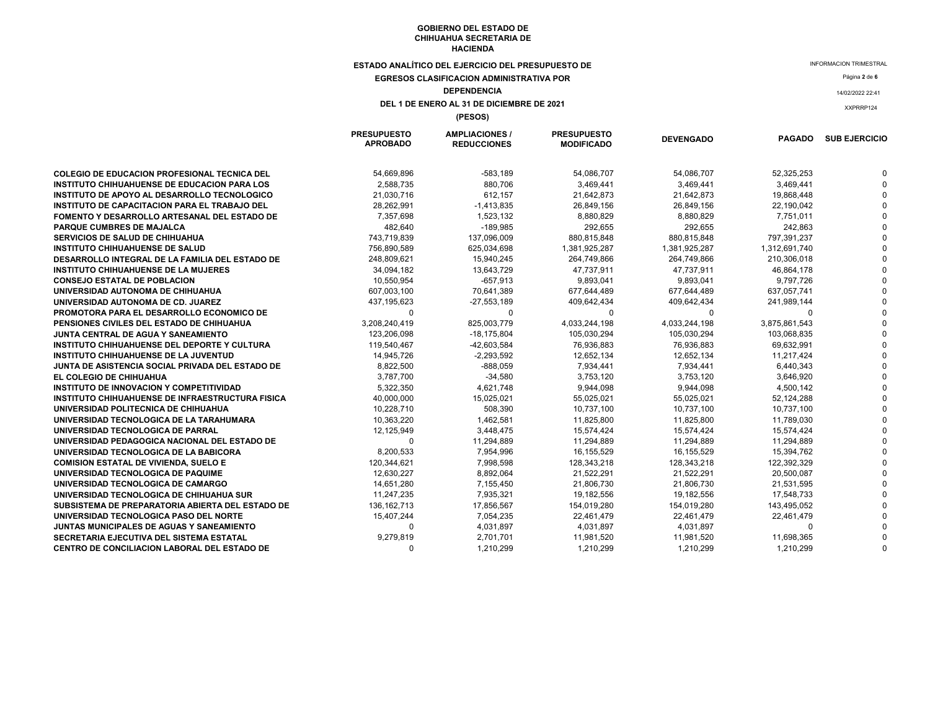**ESTADO ANALÍTICO DEL EJERCICIO DEL PRESUPUESTO DE** 

**EGRESOS CLASIFICACION ADMINISTRATIVA POR** 

# **DEPENDENCIA**

**DEL 1 DE ENERO AL 31 DE DICIEMBRE DE 2021** 

**(PESOS)**

|                                                     | <b>PRESUPUESTO</b><br><b>APROBADO</b> | <b>AMPLIACIONES /</b><br><b>REDUCCIONES</b> | <b>PRESUPUESTO</b><br><b>MODIFICADO</b> | <b>DEVENGADO</b> |               | <b>PAGADO SUB EJERCICIO</b> |
|-----------------------------------------------------|---------------------------------------|---------------------------------------------|-----------------------------------------|------------------|---------------|-----------------------------|
| <b>COLEGIO DE EDUCACION PROFESIONAL TECNICA DEL</b> | 54,669,896                            | $-583,189$                                  | 54,086,707                              | 54,086,707       | 52,325,253    |                             |
| INSTITUTO CHIHUAHUENSE DE EDUCACION PARA LOS        | 2,588,735                             | 880,706                                     | 3,469,441                               | 3,469,441        | 3,469,441     |                             |
| INSTITUTO DE APOYO AL DESARROLLO TECNOLOGICO        | 21,030,716                            | 612,157                                     | 21,642,873                              | 21,642,873       | 19,868,448    |                             |
| INSTITUTO DE CAPACITACION PARA EL TRABAJO DEL       | 28,262,991                            | $-1,413,835$                                | 26,849,156                              | 26,849,156       | 22,190,042    |                             |
| FOMENTO Y DESARROLLO ARTESANAL DEL ESTADO DE        | 7,357,698                             | 1,523,132                                   | 8,880,829                               | 8,880,829        | 7,751,011     |                             |
| <b>PARQUE CUMBRES DE MAJALCA</b>                    | 482,640                               | $-189,985$                                  | 292,655                                 | 292,655          | 242,863       |                             |
| <b>SERVICIOS DE SALUD DE CHIHUAHUA</b>              | 743,719,839                           | 137,096,009                                 | 880,815,848                             | 880,815,848      | 797,391,237   |                             |
| <b>INSTITUTO CHIHUAHUENSE DE SALUD</b>              | 756,890,589                           | 625,034,698                                 | 1,381,925,287                           | 1,381,925,287    | 1,312,691,740 |                             |
| DESARROLLO INTEGRAL DE LA FAMILIA DEL ESTADO DE     | 248,809,621                           | 15,940,245                                  | 264,749,866                             | 264,749,866      | 210,306,018   |                             |
| INSTITUTO CHIHUAHUENSE DE LA MUJERES                | 34,094,182                            | 13,643,729                                  | 47,737,911                              | 47,737,911       | 46,864,178    |                             |
| <b>CONSEJO ESTATAL DE POBLACION</b>                 | 10,550,954                            | $-657,913$                                  | 9,893,041                               | 9,893,041        | 9,797,726     |                             |
| UNIVERSIDAD AUTONOMA DE CHIHUAHUA                   | 607,003,100                           | 70,641,389                                  | 677,644,489                             | 677,644,489      | 637,057,741   |                             |
| UNIVERSIDAD AUTONOMA DE CD. JUAREZ                  | 437,195,623                           | $-27,553,189$                               | 409,642,434                             | 409,642,434      | 241,989,144   |                             |
| PROMOTORA PARA EL DESARROLLO ECONOMICO DE           | 0                                     | 0                                           | $\Omega$                                | $\Omega$         |               |                             |
| PENSIONES CIVILES DEL ESTADO DE CHIHUAHUA           | 3,208,240,419                         | 825,003,779                                 | 4,033,244,198                           | 4,033,244,198    | 3,875,861,543 |                             |
| JUNTA CENTRAL DE AGUA Y SANEAMIENTO                 | 123,206,098                           | $-18,175,804$                               | 105,030,294                             | 105,030,294      | 103,068,835   |                             |
| INSTITUTO CHIHUAHUENSE DEL DEPORTE Y CULTURA        | 119,540,467                           | -42,603,584                                 | 76,936,883                              | 76,936,883       | 69,632,991    |                             |
| <b>INSTITUTO CHIHUAHUENSE DE LA JUVENTUD</b>        | 14,945,726                            | $-2,293,592$                                | 12,652,134                              | 12,652,134       | 11,217,424    |                             |
| JUNTA DE ASISTENCIA SOCIAL PRIVADA DEL ESTADO DE    | 8,822,500                             | $-888,059$                                  | 7,934,441                               | 7,934,441        | 6,440,343     |                             |
| EL COLEGIO DE CHIHUAHUA                             | 3,787,700                             | $-34,580$                                   | 3,753,120                               | 3,753,120        | 3,646,920     |                             |
| INSTITUTO DE INNOVACION Y COMPETITIVIDAD            | 5,322,350                             | 4,621,748                                   | 9,944,098                               | 9,944,098        | 4,500,142     |                             |
| INSTITUTO CHIHUAHUENSE DE INFRAESTRUCTURA FISICA    | 40,000,000                            | 15,025,021                                  | 55,025,021                              | 55,025,021       | 52,124,288    |                             |
| UNIVERSIDAD POLITECNICA DE CHIHUAHUA                | 10,228,710                            | 508,390                                     | 10,737,100                              | 10,737,100       | 10,737,100    |                             |
| UNIVERSIDAD TECNOLOGICA DE LA TARAHUMARA            | 10,363,220                            | 1,462,581                                   | 11,825,800                              | 11,825,800       | 11,789,030    |                             |
| UNIVERSIDAD TECNOLOGICA DE PARRAL                   | 12,125,949                            | 3,448,475                                   | 15,574,424                              | 15,574,424       | 15,574,424    |                             |
| UNIVERSIDAD PEDAGOGICA NACIONAL DEL ESTADO DE       | 0                                     | 11,294,889                                  | 11,294,889                              | 11,294,889       | 11,294,889    |                             |
| UNIVERSIDAD TECNOLOGICA DE LA BABICORA              | 8,200,533                             | 7,954,996                                   | 16,155,529                              | 16,155,529       | 15,394,762    |                             |
| <b>COMISION ESTATAL DE VIVIENDA, SUELO E</b>        | 120,344,621                           | 7,998,598                                   | 128,343,218                             | 128,343,218      | 122,392,329   |                             |
| UNIVERSIDAD TECNOLOGICA DE PAQUIME                  | 12,630,227                            | 8,892,064                                   | 21,522,291                              | 21,522,291       | 20,500,087    |                             |
| UNIVERSIDAD TECNOLOGICA DE CAMARGO                  | 14,651,280                            | 7,155,450                                   | 21,806,730                              | 21,806,730       | 21,531,595    |                             |
| UNIVERSIDAD TECNOLOGICA DE CHIHUAHUA SUR            | 11,247,235                            | 7,935,321                                   | 19,182,556                              | 19,182,556       | 17,548,733    |                             |
| SUBSISTEMA DE PREPARATORIA ABIERTA DEL ESTADO DE    | 136, 162, 713                         | 17,856,567                                  | 154,019,280                             | 154,019,280      | 143,495,052   |                             |
| UNIVERSIDAD TECNOLOGICA PASO DEL NORTE              | 15,407,244                            | 7,054,235                                   | 22,461,479                              | 22,461,479       | 22,461,479    |                             |
| JUNTAS MUNICIPALES DE AGUAS Y SANEAMIENTO           | 0                                     | 4,031,897                                   | 4,031,897                               | 4,031,897        | $\Omega$      |                             |
| SECRETARIA EJECUTIVA DEL SISTEMA ESTATAL            | 9,279,819                             | 2,701,701                                   | 11,981,520                              | 11,981,520       | 11,698,365    |                             |
| <b>CENTRO DE CONCILIACION LABORAL DEL ESTADO DE</b> | $\Omega$                              | 1,210,299                                   | 1,210,299                               | 1,210,299        | 1,210,299     |                             |

INFORMACION TRIMESTRAL

Página **2** de **<sup>6</sup>**

14/02/2022 22:41

XXPRRP124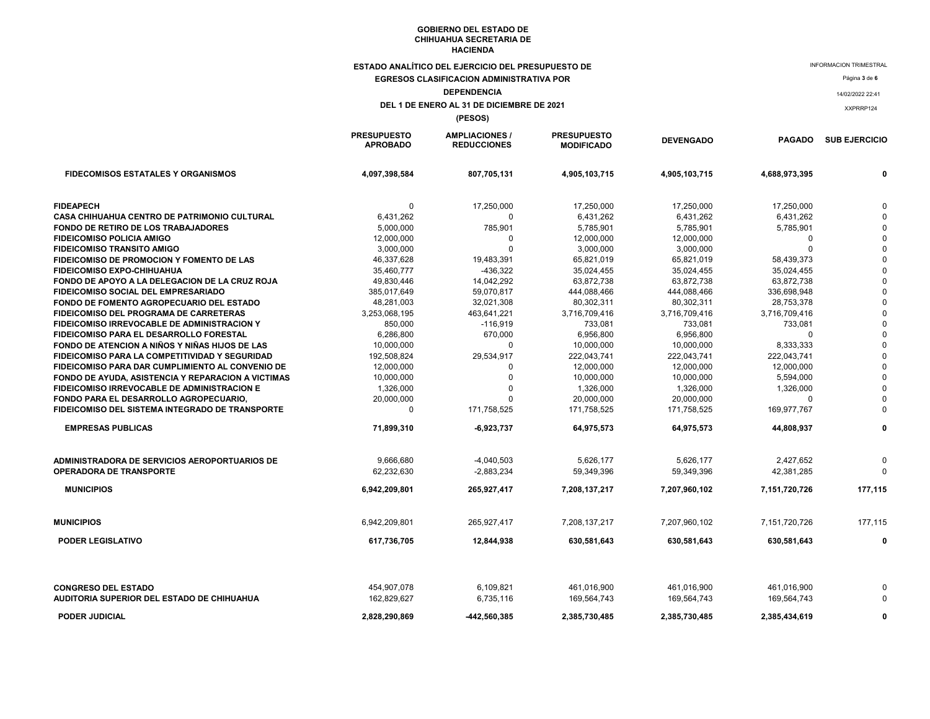**ESTADO ANALÍTICO DEL EJERCICIO DEL PRESUPUESTO DE** 

**EGRESOS CLASIFICACION ADMINISTRATIVA POR DEPENDENCIA**

#### **DEL 1 DE ENERO AL 31 DE DICIEMBRE DE 2021**

**(PESOS)**

|                                                    | <b>PRESUPUESTO</b><br><b>APROBADO</b> | <b>AMPLIACIONES /</b><br><b>REDUCCIONES</b> | <b>PRESUPUESTO</b><br><b>MODIFICADO</b> | <b>DEVENGADO</b> | <b>PAGADO</b> | <b>SUB EJERCICIO</b> |
|----------------------------------------------------|---------------------------------------|---------------------------------------------|-----------------------------------------|------------------|---------------|----------------------|
| <b>FIDECOMISOS ESTATALES Y ORGANISMOS</b>          | 4,097,398,584                         | 807,705,131                                 | 4,905,103,715                           | 4,905,103,715    | 4,688,973,395 |                      |
| <b>FIDEAPECH</b>                                   | 0                                     | 17,250,000                                  | 17,250,000                              | 17,250,000       | 17,250,000    |                      |
| CASA CHIHUAHUA CENTRO DE PATRIMONIO CULTURAL       | 6,431,262                             | $\Omega$                                    | 6,431,262                               | 6,431,262        | 6,431,262     |                      |
| <b>FONDO DE RETIRO DE LOS TRABAJADORES</b>         | 5,000,000                             | 785,901                                     | 5,785,901                               | 5,785,901        | 5,785,901     |                      |
| <b>FIDEICOMISO POLICIA AMIGO</b>                   | 12,000,000                            | $\Omega$                                    | 12,000,000                              | 12,000,000       | $\Omega$      |                      |
| <b>FIDEICOMISO TRANSITO AMIGO</b>                  | 3,000,000                             | $\Omega$                                    | 3,000,000                               | 3,000,000        |               |                      |
| <b>FIDEICOMISO DE PROMOCION Y FOMENTO DE LAS</b>   | 46,337,628                            | 19,483,391                                  | 65,821,019                              | 65,821,019       | 58,439,373    |                      |
| <b>FIDEICOMISO EXPO-CHIHUAHUA</b>                  | 35,460,777                            | $-436,322$                                  | 35,024,455                              | 35,024,455       | 35,024,455    |                      |
| FONDO DE APOYO A LA DELEGACION DE LA CRUZ ROJA     | 49,830,446                            | 14,042,292                                  | 63,872,738                              | 63,872,738       | 63,872,738    |                      |
| <b>FIDEICOMISO SOCIAL DEL EMPRESARIADO</b>         | 385,017,649                           | 59,070,817                                  | 444,088,466                             | 444,088,466      | 336,698,948   |                      |
| FONDO DE FOMENTO AGROPECUARIO DEL ESTADO           | 48.281.003                            | 32,021,308                                  | 80,302,311                              | 80,302,311       | 28.753.378    |                      |
| <b>FIDEICOMISO DEL PROGRAMA DE CARRETERAS</b>      | 3,253,068,195                         | 463,641,221                                 | 3,716,709,416                           | 3,716,709,416    | 3,716,709,416 |                      |
| <b>FIDEICOMISO IRREVOCABLE DE ADMINISTRACION Y</b> | 850,000                               | $-116,919$                                  | 733,081                                 | 733,081          | 733,081       |                      |
| <b>FIDEICOMISO PARA EL DESARROLLO FORESTAL</b>     | 6,286,800                             | 670,000                                     | 6,956,800                               | 6,956,800        |               |                      |
| FONDO DE ATENCION A NIÑOS Y NIÑAS HIJOS DE LAS     | 10,000,000                            | $\mathbf 0$                                 | 10,000,000                              | 10,000,000       | 8,333,333     |                      |
| FIDEICOMISO PARA LA COMPETITIVIDAD Y SEGURIDAD     | 192,508,824                           | 29,534,917                                  | 222,043,741                             | 222,043,741      | 222,043,741   |                      |
| FIDEICOMISO PARA DAR CUMPLIMIENTO AL CONVENIO DE   | 12,000,000                            | $\Omega$                                    | 12,000,000                              | 12,000,000       | 12,000,000    |                      |
| FONDO DE AYUDA, ASISTENCIA Y REPARACION A VICTIMAS | 10,000,000                            | $\mathbf 0$                                 | 10,000,000                              | 10,000,000       | 5,594,000     |                      |
| <b>FIDEICOMISO IRREVOCABLE DE ADMINISTRACION E</b> | 1,326,000                             | $\Omega$                                    | 1,326,000                               | 1,326,000        | 1,326,000     |                      |
| FONDO PARA EL DESARROLLO AGROPECUARIO,             | 20,000,000                            | $\Omega$                                    | 20,000,000                              | 20,000,000       | $\Omega$      |                      |
| FIDEICOMISO DEL SISTEMA INTEGRADO DE TRANSPORTE    | $\Omega$                              | 171,758,525                                 | 171,758,525                             | 171,758,525      | 169,977,767   | $\Omega$             |
| <b>EMPRESAS PUBLICAS</b>                           | 71,899,310                            | $-6,923,737$                                | 64,975,573                              | 64,975,573       | 44,808,937    | $\mathbf 0$          |
| ADMINISTRADORA DE SERVICIOS AEROPORTUARIOS DE      | 9.666.680<br>62,232,630               | $-4.040.503$                                | 5.626.177                               | 5.626.177        | 2.427.652     | $\Omega$<br>$\Omega$ |
| <b>OPERADORA DE TRANSPORTE</b>                     |                                       | $-2,883,234$                                | 59,349,396                              | 59,349,396       | 42,381,285    |                      |
| <b>MUNICIPIOS</b>                                  | 6,942,209,801                         | 265,927,417                                 | 7,208,137,217                           | 7,207,960,102    | 7,151,720,726 | 177,115              |
| <b>MUNICIPIOS</b>                                  | 6,942,209,801                         | 265,927,417                                 | 7,208,137,217                           | 7,207,960,102    | 7,151,720,726 | 177,115              |
| <b>PODER LEGISLATIVO</b>                           | 617,736,705                           | 12,844,938                                  | 630,581,643                             | 630,581,643      | 630,581,643   | 0                    |
|                                                    |                                       |                                             |                                         |                  |               |                      |
| <b>CONGRESO DEL ESTADO</b>                         | 454,907,078                           | 6,109,821                                   | 461,016,900                             | 461,016,900      | 461,016,900   | $\Omega$             |
| AUDITORIA SUPERIOR DEL ESTADO DE CHIHUAHUA         | 162,829,627                           | 6,735,116                                   | 169,564,743                             | 169,564,743      | 169,564,743   |                      |
| <b>PODER JUDICIAL</b>                              | 2,828,290,869                         | -442,560,385                                | 2,385,730,485                           | 2,385,730,485    | 2,385,434,619 | 0                    |

INFORMACION TRIMESTRAL

Página **3** de **<sup>6</sup>**

14/02/2022 22:41

XXPRRP124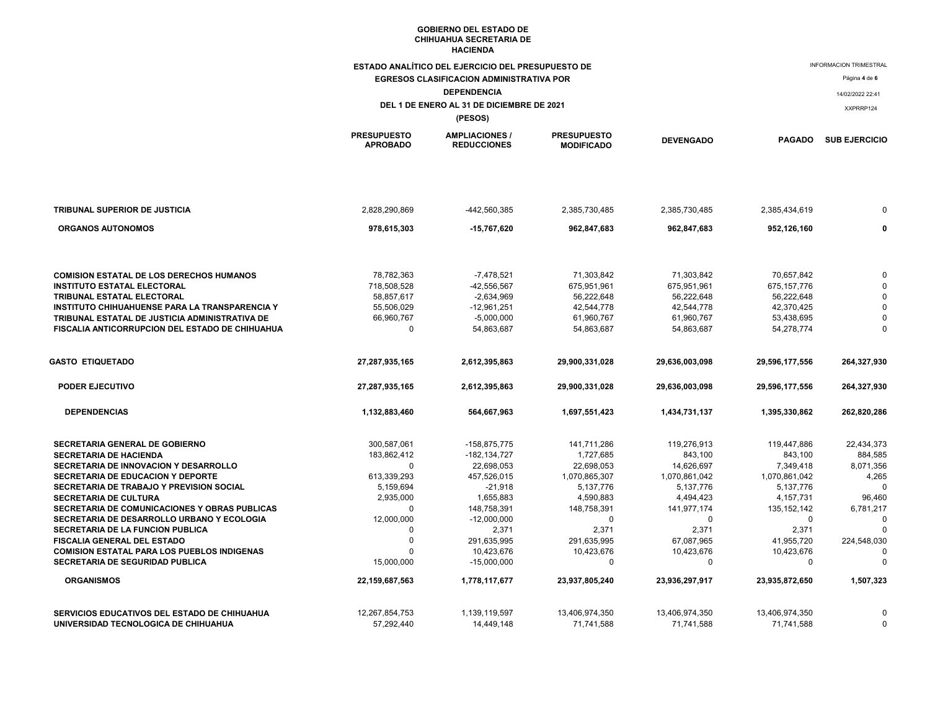|                                                                        | ESTADO ANALÍTICO DEL EJERCICIO DEL PRESUPUESTO DE |                                             |                                         |                     | <b>INFORMACION TRIMESTRAL</b> |                      |  |
|------------------------------------------------------------------------|---------------------------------------------------|---------------------------------------------|-----------------------------------------|---------------------|-------------------------------|----------------------|--|
|                                                                        | <b>EGRESOS CLASIFICACION ADMINISTRATIVA POR</b>   |                                             |                                         |                     |                               | Página 4 de 6        |  |
|                                                                        |                                                   | <b>DEPENDENCIA</b>                          |                                         |                     |                               | 14/02/2022 22:41     |  |
| DEL 1 DE ENERO AL 31 DE DICIEMBRE DE 2021                              |                                                   |                                             |                                         |                     |                               | XXPRRP124            |  |
|                                                                        |                                                   | (PESOS)                                     |                                         |                     |                               |                      |  |
|                                                                        | <b>PRESUPUESTO</b><br><b>APROBADO</b>             | <b>AMPLIACIONES /</b><br><b>REDUCCIONES</b> | <b>PRESUPUESTO</b><br><b>MODIFICADO</b> | <b>DEVENGADO</b>    | <b>PAGADO</b>                 | <b>SUB EJERCICIO</b> |  |
|                                                                        |                                                   |                                             |                                         |                     |                               |                      |  |
| TRIBUNAL SUPERIOR DE JUSTICIA                                          | 2,828,290,869                                     | -442,560,385                                | 2,385,730,485                           | 2,385,730,485       | 2,385,434,619                 | 0                    |  |
| <b>ORGANOS AUTONOMOS</b>                                               | 978,615,303                                       | -15,767,620                                 | 962,847,683                             | 962,847,683         | 952,126,160                   | 0                    |  |
|                                                                        |                                                   |                                             |                                         |                     |                               |                      |  |
| <b>COMISION ESTATAL DE LOS DERECHOS HUMANOS</b>                        | 78,782,363                                        | $-7,478,521$                                | 71,303,842                              | 71,303,842          | 70,657,842                    | $\Omega$             |  |
| <b>INSTITUTO ESTATAL ELECTORAL</b>                                     | 718,508,528                                       | -42,556,567                                 | 675,951,961                             | 675,951,961         | 675,157,776                   | $\Omega$             |  |
| TRIBUNAL ESTATAL ELECTORAL                                             | 58,857,617                                        | $-2,634,969$                                | 56,222,648                              | 56,222,648          | 56,222,648                    | $\Omega$             |  |
| <b>INSTITUTO CHIHUAHUENSE PARA LA TRANSPARENCIA Y</b>                  | 55,506,029                                        | -12,961,251                                 | 42,544,778                              | 42,544,778          | 42,370,425                    | $\Omega$             |  |
| TRIBUNAL ESTATAL DE JUSTICIA ADMINISTRATIVA DE                         | 66,960,767                                        | $-5,000,000$                                | 61,960,767                              | 61,960,767          | 53,438,695                    | $\Omega$             |  |
| FISCALIA ANTICORRUPCION DEL ESTADO DE CHIHUAHUA                        | $\pmb{0}$                                         | 54,863,687                                  | 54,863,687                              | 54,863,687          | 54,278,774                    | $\mathbf 0$          |  |
| <b>GASTO ETIQUETADO</b>                                                | 27,287,935,165                                    | 2,612,395,863                               | 29,900,331,028                          | 29,636,003,098      | 29,596,177,556                | 264,327,930          |  |
| <b>PODER EJECUTIVO</b>                                                 | 27,287,935,165                                    | 2,612,395,863                               | 29,900,331,028                          | 29,636,003,098      | 29,596,177,556                | 264,327,930          |  |
| <b>DEPENDENCIAS</b>                                                    | 1,132,883,460                                     | 564,667,963                                 | 1,697,551,423                           | 1,434,731,137       | 1,395,330,862                 | 262,820,286          |  |
| <b>SECRETARIA GENERAL DE GOBIERNO</b>                                  | 300,587,061                                       | -158,875,775                                | 141,711,286                             | 119,276,913         | 119,447,886                   | 22,434,373           |  |
| <b>SECRETARIA DE HACIENDA</b>                                          | 183,862,412                                       | -182, 134, 727                              | 1,727,685                               | 843,100             | 843,100                       | 884,585              |  |
| SECRETARIA DE INNOVACION Y DESARROLLO                                  | $\Omega$                                          | 22,698,053                                  | 22,698,053                              | 14,626,697          | 7,349,418                     | 8,071,356            |  |
| <b>SECRETARIA DE EDUCACION Y DEPORTE</b>                               | 613,339,293                                       | 457,526,015                                 | 1,070,865,307                           | 1,070,861,042       | 1,070,861,042                 | 4,265                |  |
| SECRETARIA DE TRABAJO Y PREVISION SOCIAL                               | 5,159,694                                         | $-21,918$                                   | 5,137,776                               | 5,137,776           | 5,137,776                     | $\Omega$             |  |
| <b>SECRETARIA DE CULTURA</b>                                           | 2,935,000                                         | 1,655,883                                   | 4,590,883                               | 4,494,423           | 4,157,731                     | 96,460               |  |
| SECRETARIA DE COMUNICACIONES Y OBRAS PUBLICAS                          | 0                                                 | 148,758,391                                 | 148,758,391                             | 141,977,174         | 135, 152, 142                 | 6,781,217            |  |
| SECRETARIA DE DESARROLLO URBANO Y ECOLOGIA                             | 12,000,000<br>$\mathbf 0$                         | $-12,000,000$                               | 0<br>2,371                              | $\Omega$            | $\Omega$                      | $\Omega$             |  |
| SECRETARIA DE LA FUNCION PUBLICA<br><b>FISCALIA GENERAL DEL ESTADO</b> | $\mathbf 0$                                       | 2,371<br>291,635,995                        | 291,635,995                             | 2,371<br>67,087,965 | 2,371<br>41,955,720           | 224,548,030          |  |
| <b>COMISION ESTATAL PARA LOS PUEBLOS INDIGENAS</b>                     | $\Omega$                                          | 10,423,676                                  | 10,423,676                              | 10,423,676          | 10,423,676                    | $\Omega$             |  |
| <b>SECRETARIA DE SEGURIDAD PUBLICA</b>                                 | 15,000,000                                        | $-15,000,000$                               | 0                                       | $\mathbf 0$         | $\mathbf 0$                   | $\Omega$             |  |
| <b>ORGANISMOS</b>                                                      | 22,159,687,563                                    | 1,778,117,677                               | 23,937,805,240                          | 23,936,297,917      | 23,935,872,650                | 1,507,323            |  |
| SERVICIOS EDUCATIVOS DEL ESTADO DE CHIHUAHUA                           | 12,267,854,753                                    | 1.139.119.597                               | 13,406,974,350                          | 13.406.974.350      | 13.406.974.350                | $\Omega$             |  |
| UNIVERSIDAD TECNOLOGICA DE CHIHUAHUA                                   | 57,292,440                                        | 14,449,148                                  | 71,741,588                              | 71,741,588          | 71,741,588                    | $\Omega$             |  |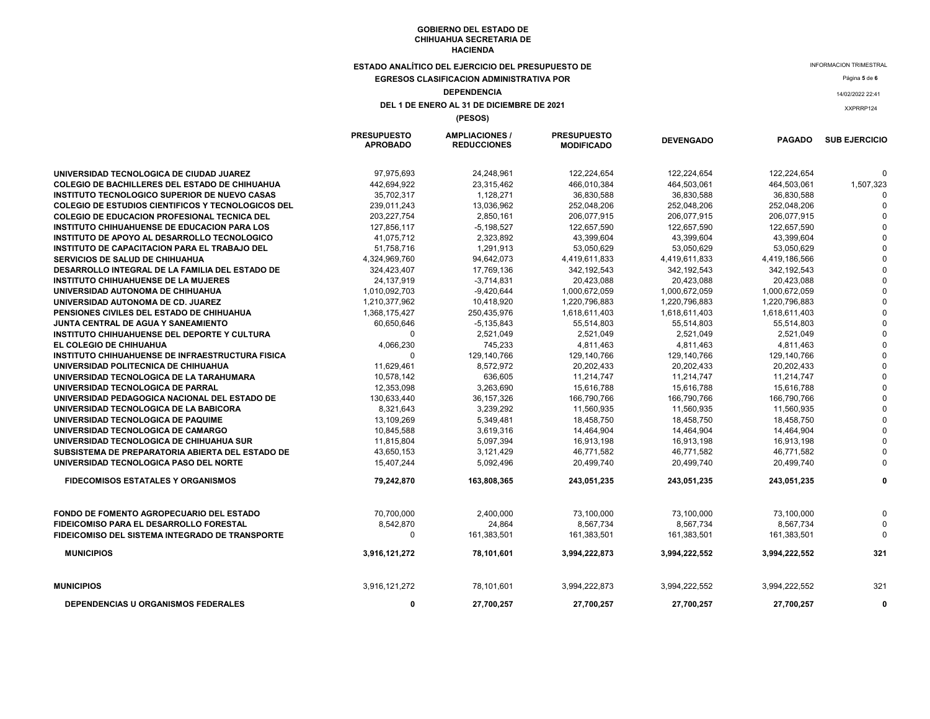**ESTADO ANALÍTICO DEL EJERCICIO DEL PRESUPUESTO DE** 

**EGRESOS CLASIFICACION ADMINISTRATIVA POR** 

## **DEPENDENCIA**

#### **DEL 1 DE ENERO AL 31 DE DICIEMBRE DE 2021**

**(PESOS)**

|                                                           | <b>PRESUPUESTO</b><br><b>APROBADO</b> | <b>AMPLIACIONES /</b><br><b>REDUCCIONES</b> | <b>PRESUPUESTO</b><br><b>MODIFICADO</b> | <b>DEVENGADO</b> | <b>PAGADO</b> | <b>SUB EJERCICIO</b> |
|-----------------------------------------------------------|---------------------------------------|---------------------------------------------|-----------------------------------------|------------------|---------------|----------------------|
| UNIVERSIDAD TECNOLOGICA DE CIUDAD JUAREZ                  | 97,975,693                            | 24,248,961                                  | 122,224,654                             | 122,224,654      | 122,224,654   | $\Omega$             |
| <b>COLEGIO DE BACHILLERES DEL ESTADO DE CHIHUAHUA</b>     | 442,694,922                           | 23,315,462                                  | 466,010,384                             | 464,503,061      | 464,503,061   | 1,507,323            |
| <b>INSTITUTO TECNOLOGICO SUPERIOR DE NUEVO CASAS</b>      | 35,702,317                            | 1,128,271                                   | 36,830,588                              | 36,830,588       | 36,830,588    |                      |
| <b>COLEGIO DE ESTUDIOS CIENTIFICOS Y TECNOLOGICOS DEL</b> | 239,011,243                           | 13,036,962                                  | 252,048,206                             | 252,048,206      | 252,048,206   |                      |
| <b>COLEGIO DE EDUCACION PROFESIONAL TECNICA DEL</b>       | 203, 227, 754                         | 2,850,161                                   | 206,077,915                             | 206,077,915      | 206,077,915   |                      |
| INSTITUTO CHIHUAHUENSE DE EDUCACION PARA LOS              | 127,856,117                           | $-5,198,527$                                | 122,657,590                             | 122,657,590      | 122,657,590   |                      |
| INSTITUTO DE APOYO AL DESARROLLO TECNOLOGICO              | 41,075,712                            | 2,323,892                                   | 43,399,604                              | 43,399,604       | 43,399,604    |                      |
| INSTITUTO DE CAPACITACION PARA EL TRABAJO DEL             | 51,758,716                            | 1,291,913                                   | 53,050,629                              | 53,050,629       | 53,050,629    |                      |
| <b>SERVICIOS DE SALUD DE CHIHUAHUA</b>                    | 4,324,969,760                         | 94,642,073                                  | 4,419,611,833                           | 4,419,611,833    | 4,419,186,566 |                      |
| DESARROLLO INTEGRAL DE LA FAMILIA DEL ESTADO DE           | 324,423,407                           | 17,769,136                                  | 342,192,543                             | 342, 192, 543    | 342,192,543   |                      |
| <b>INSTITUTO CHIHUAHUENSE DE LA MUJERES</b>               | 24, 137, 919                          | $-3,714,831$                                | 20,423,088                              | 20,423,088       | 20,423,088    |                      |
| UNIVERSIDAD AUTONOMA DE CHIHUAHUA                         | 1,010,092,703                         | $-9,420,644$                                | 1,000,672,059                           | 1,000,672,059    | 1,000,672,059 |                      |
| UNIVERSIDAD AUTONOMA DE CD. JUAREZ                        | 1,210,377,962                         | 10,418,920                                  | 1,220,796,883                           | 1,220,796,883    | 1,220,796,883 |                      |
| PENSIONES CIVILES DEL ESTADO DE CHIHUAHUA                 | 1,368,175,427                         | 250,435,976                                 | 1,618,611,403                           | 1,618,611,403    | 1,618,611,403 |                      |
| JUNTA CENTRAL DE AGUA Y SANEAMIENTO                       | 60,650,646                            | $-5, 135, 843$                              | 55,514,803                              | 55,514,803       | 55,514,803    |                      |
| INSTITUTO CHIHUAHUENSE DEL DEPORTE Y CULTURA              | $\Omega$                              | 2,521,049                                   | 2,521,049                               | 2,521,049        | 2,521,049     |                      |
| EL COLEGIO DE CHIHUAHUA                                   | 4,066,230                             | 745,233                                     | 4,811,463                               | 4,811,463        | 4,811,463     |                      |
| <b>INSTITUTO CHIHUAHUENSE DE INFRAESTRUCTURA FISICA</b>   | $\Omega$                              | 129,140,766                                 | 129,140,766                             | 129,140,766      | 129,140,766   |                      |
| UNIVERSIDAD POLITECNICA DE CHIHUAHUA                      | 11,629,461                            | 8,572,972                                   | 20,202,433                              | 20,202,433       | 20,202,433    |                      |
| UNIVERSIDAD TECNOLOGICA DE LA TARAHUMARA                  | 10,578,142                            | 636,605                                     | 11,214,747                              | 11,214,747       | 11,214,747    |                      |
| UNIVERSIDAD TECNOLOGICA DE PARRAL                         | 12,353,098                            | 3,263,690                                   | 15,616,788                              | 15,616,788       | 15,616,788    |                      |
| UNIVERSIDAD PEDAGOGICA NACIONAL DEL ESTADO DE             | 130,633,440                           | 36, 157, 326                                | 166,790,766                             | 166,790,766      | 166,790,766   |                      |
| UNIVERSIDAD TECNOLOGICA DE LA BABICORA                    | 8.321.643                             | 3,239,292                                   | 11,560,935                              | 11,560,935       | 11,560,935    |                      |
| UNIVERSIDAD TECNOLOGICA DE PAQUIME                        | 13,109,269                            | 5,349,481                                   | 18,458,750                              | 18,458,750       | 18,458,750    |                      |
| UNIVERSIDAD TECNOLOGICA DE CAMARGO                        | 10,845,588                            | 3,619,316                                   | 14,464,904                              | 14,464,904       | 14,464,904    |                      |
| UNIVERSIDAD TECNOLOGICA DE CHIHUAHUA SUR                  | 11,815,804                            | 5,097,394                                   | 16,913,198                              | 16,913,198       | 16,913,198    |                      |
| SUBSISTEMA DE PREPARATORIA ABIERTA DEL ESTADO DE          | 43,650,153                            | 3,121,429                                   | 46,771,582                              | 46,771,582       | 46,771,582    |                      |
| UNIVERSIDAD TECNOLOGICA PASO DEL NORTE                    | 15,407,244                            | 5,092,496                                   | 20,499,740                              | 20,499,740       | 20,499,740    |                      |
| <b>FIDECOMISOS ESTATALES Y ORGANISMOS</b>                 | 79,242,870                            | 163,808,365                                 | 243,051,235                             | 243,051,235      | 243,051,235   |                      |
| FONDO DE FOMENTO AGROPECUARIO DEL ESTADO                  | 70,700,000                            | 2,400,000                                   | 73,100,000                              | 73,100,000       | 73,100,000    |                      |
| <b>FIDEICOMISO PARA EL DESARROLLO FORESTAL</b>            | 8,542,870                             | 24,864                                      | 8.567.734                               | 8.567.734        | 8.567.734     | <sup>0</sup>         |
| FIDEICOMISO DEL SISTEMA INTEGRADO DE TRANSPORTE           | $\Omega$                              | 161,383,501                                 | 161,383,501                             | 161,383,501      | 161,383,501   |                      |
| <b>MUNICIPIOS</b>                                         | 3,916,121,272                         | 78,101,601                                  | 3,994,222,873                           | 3,994,222,552    | 3,994,222,552 | 321                  |
| <b>MUNICIPIOS</b>                                         | 3,916,121,272                         | 78,101,601                                  | 3,994,222,873                           | 3,994,222,552    | 3,994,222,552 | 321                  |
| <b>DEPENDENCIAS U ORGANISMOS FEDERALES</b>                | 0                                     | 27,700,257                                  | 27,700,257                              | 27,700,257       | 27.700.257    | $\Omega$             |

INFORMACION TRIMESTRAL

Página **5** de **<sup>6</sup>**

14/02/2022 22:41

XXPRRP124